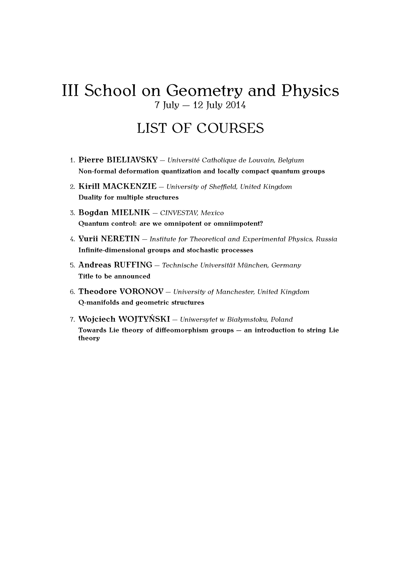# III School on Geometry and Physics  $7 \text{ July} - 12 \text{ July } 2014$

# LIST OF COURSES

- 1. Pierre BIELIAVSKY Université Catholique de Louvain, Belgium **Non-formal deformation quantization and locally compact quantum groups**
- 2. **Kirill MACKENZIE** *University of Sheffield, United Kingdom* **Duality for multiple structures**
- 3. **Bogdan MIELNIK** *CINVESTAV, Mexico* **Quantum control: are we omnipotent or omniimpotent?**
- 4. **Yurii NERETIN** *Institute for Theoretical and Experimental Physics, Russia* **Infinite-dimensional groups and stochastic processes**
- 5. **Andreas RUFFING** Technische Universität München, Germany **Title to be announced**
- 6. **Theodore VORONOV** *University of Manchester, United Kingdom* **Q-manifolds and geometric structures**
- 7. **Wojciech WOJTYŃSKI** *Uniwersytet w Białymstoku, Poland* Towards Lie theory of diffeomorphism groups – an introduction to string Lie **theory**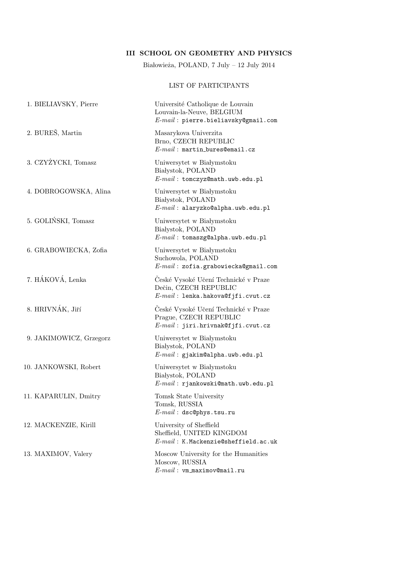### III SCHOOL ON GEOMETRY AND PHYSICS

Białowieża, POLAND, 7 July – 12 July 2014

#### LIST OF PARTICIPANTS

| 1. BIELIAVSKY, Pierre   | Université Catholique de Louvain<br>Louvain-la-Neuve, BELGIUM<br>$E$ - $mail$ : pierre.bieliavsky@gmail.com |
|-------------------------|-------------------------------------------------------------------------------------------------------------|
| 2. BUREŠ, Martin        | Masarykova Univerzita<br>Brno, CZECH REPUBLIC<br>$E$ - $mail$ : martin_bures@email.cz                       |
| 3. CZYŻYCKI, Tomasz     | Uniwersytet w Białymstoku<br>Białystok, POLAND<br>$E-mail:$ tomczyz@math.uwb.edu.pl                         |
| 4. DOBROGOWSKA, Alina   | Uniwersytet w Białymstoku<br>Białystok, POLAND<br>$E$ - $mail$ : alaryzko@alpha.uwb.edu.pl                  |
| 5. GOLIŃSKI, Tomasz     | Uniwersytet w Białymstoku<br>Białystok, POLAND<br>$E$ - $mail$ : tomaszg@alpha.uwb.edu.pl                   |
| 6. GRABOWIECKA, Zofia   | Uniwersytet w Białymstoku<br>Suchowola, POLAND<br>$E$ - $mail$ : zofia.grabowiecka@gmail.com                |
| 7. HÁKOVÁ, Lenka        | České Vysoké Učení Technické v Praze<br>Dečin, CZECH REPUBLIC<br>$E$ - $mail$ : lenka.hakova@fjfi.cvut.cz   |
| 8. HRIVNÁK, Jiří        | České Vysoké Učení Technické v Praze<br>Prague, CZECH REPUBLIC<br>$E-mail: jiri.hrivnak@f jfi.cvut.cz$      |
| 9. JAKIMOWICZ, Grzegorz | Uniwersytet w Białymstoku<br>Białystok, POLAND<br>$E$ - $mail$ : gjakim@alpha.uwb.edu.pl                    |
| 10. JANKOWSKI, Robert   | Uniwersytet w Białymstoku<br>Białystok, POLAND<br>$E$ - $mail$ : rjankowski@math.uwb.edu.pl                 |
| 11. KAPARULIN, Dmitry   | Tomsk State University<br>Tomsk, RUSSIA<br>$E$ -mail: dsc@phys.tsu.ru                                       |
| 12. MACKENZIE, Kirill   | University of Sheffield<br>Sheffield, UNITED KINGDOM<br>$E$ - $mail$ : K.Mackenzie@sheffield.ac.uk          |
| 13. MAXIMOV, Valery     | Moscow University for the Humanities<br>Moscow, RUSSIA<br>$E$ - $mail$ : vm_maximov@mail.ru                 |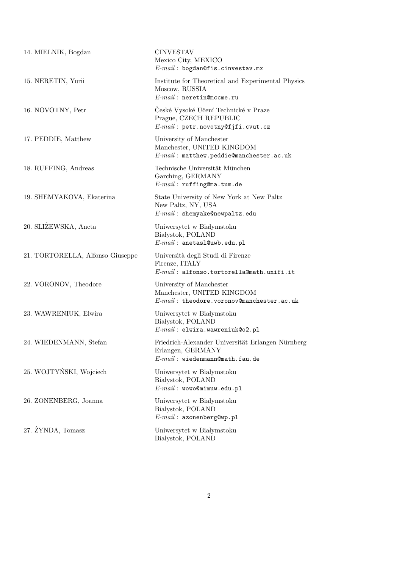| 14. MIELNIK, Bogdan              | <b>CINVESTAV</b><br>Mexico City, MEXICO<br>$E$ - $mail$ : bogdan@fis.cinvestav.mx                           |
|----------------------------------|-------------------------------------------------------------------------------------------------------------|
| 15. NERETIN, Yurii               | Institute for Theoretical and Experimental Physics<br>Moscow, RUSSIA<br>$E-mail:$ neretin@mccme.ru          |
| 16. NOVOTNY, Petr                | Ceské Vysoké Učení Technické v Praze<br>Prague, CZECH REPUBLIC<br>$E-mail:$ petr.novotny@fjfi.cvut.cz       |
| 17. PEDDIE, Matthew              | University of Manchester<br>Manchester, UNITED KINGDOM<br>$E\text{-}mail$ : matthew.peddie@manchester.ac.uk |
| 18. RUFFING, Andreas             | Technische Universität München<br>Garching, GERMANY<br>$E-mail$ : ruffing@ma.tum.de                         |
| 19. SHEMYAKOVA, Ekaterina        | State University of New York at New Paltz<br>New Paltz, NY, USA<br>$E$ - $mail$ : shemyake@newpaltz.edu     |
| 20. SLIZEWSKA, Aneta             | Uniwersytet w Białymstoku<br>Białystok, POLAND<br>$E-mail:$ anetasl@uwb.edu.pl                              |
| 21. TORTORELLA, Alfonso Giuseppe | Università degli Studi di Firenze<br>Firenze, ITALY<br>$E-mail:$ alfonso.tortorella@math.unifi.it           |
| 22. VORONOV, Theodore            | University of Manchester<br>Manchester, UNITED KINGDOM<br>$E-mail:$ theodore.voronov@manchester.ac.uk       |
| 23. WAWRENIUK, Elwira            | Uniwersytet w Białymstoku<br>Białystok, POLAND<br>$E$ - $mail$ : elwira.wawreniuk@o2.pl                     |
| 24. WIEDENMANN, Stefan           | Friedrich-Alexander Universität Erlangen Nürnberg<br>Erlangen, GERMANY<br>$E-mail:$ wiedenmann@math.fau.de  |
| 25. WOJTYŃSKI, Wojciech          | Uniwersytet w Białymstoku<br>Białystok, POLAND<br>$E-mail:$ wowo@mimuw.edu.pl                               |
| 26. ZONENBERG, Joanna            | Uniwersytet w Białymstoku<br>Białystok, POLAND<br>$E-mail:$ azonenberg@wp.pl                                |
| 27. ŻYNDA, Tomasz                | Uniwersytet w Białymstoku<br>Białystok, POLAND                                                              |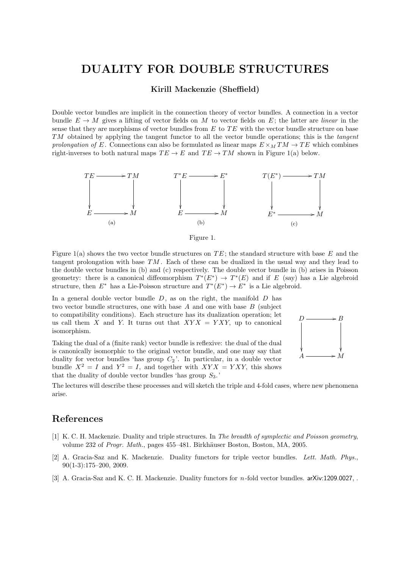### DUALITY FOR DOUBLE STRUCTURES

Kirill Mackenzie (Sheffield)

Double vector bundles are implicit in the connection theory of vector bundles. A connection in a vector bundle  $E \to M$  gives a lifting of vector fields on M to vector fields on E; the latter are linear in the sense that they are morphisms of vector bundles from  $E$  to  $TE$  with the vector bundle structure on base TM obtained by applying the tangent functor to all the vector bundle operations; this is the tangent prolongation of E. Connections can also be formulated as linear maps  $E \times_M TM \rightarrow TE$  which combines right-inverses to both natural maps  $TE \to E$  and  $TE \to TM$  shown in Figure 1(a) below.





Figure 1(a) shows the two vector bundle structures on  $TE$ ; the standard structure with base E and the tangent prolongation with base  $TM$ . Each of these can be dualized in the usual way and they lead to the double vector bundles in (b) and (c) respectively. The double vector bundle in (b) arises in Poisson geometry: there is a canonical diffeomorphism  $T^*(E^*) \to T^*(E)$  and if E (say) has a Lie algebroid structure, then  $E^*$  has a Lie-Poisson structure and  $T^*(E^*) \to E^*$  is a Lie algebroid.

In a general double vector bundle  $D$ , as on the right, the manifold  $D$  has two vector bundle structures, one with base  $A$  and one with base  $B$  (subject to compatibility conditions). Each structure has its dualization operation; let us call them X and Y. It turns out that  $XYX = YXY$ , up to canonical isomorphism.

Taking the dual of a (finite rank) vector bundle is reflexive: the dual of the dual is canonically isomorphic to the original vector bundle, and one may say that duality for vector bundles 'has group  $C_2$ '. In particular, in a double vector bundle  $X^2 = I$  and  $Y^2 = I$ , and together with  $XYX = YXY$ , this shows that the duality of double vector bundles 'has group  $S_3$ .'



The lectures will describe these processes and will sketch the triple and 4-fold cases, where new phenomena arise.

#### References

- [1] K. C. H. Mackenzie. Duality and triple structures. In The breadth of symplectic and Poisson geometry, volume 232 of Progr. Math., pages 455–481. Birkhäuser Boston, Boston, MA, 2005.
- [2] A. Gracia-Saz and K. Mackenzie. Duality functors for triple vector bundles. Lett. Math. Phys., 90(1-3):175–200, 2009.
- [3] A. Gracia-Saz and K. C. H. Mackenzie. Duality functors for n-fold vector bundles. arXiv:1209.0027, .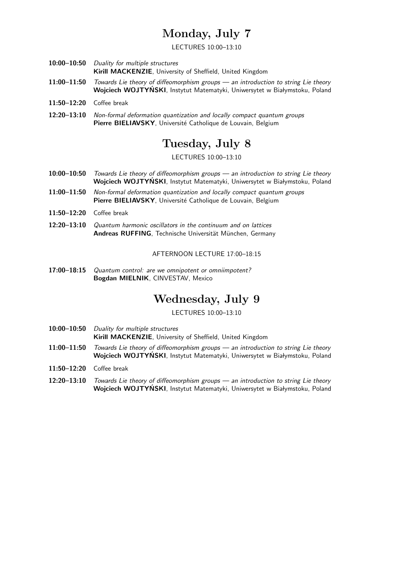# Monday, July 7

LECTURES 10:00–13:10

- 10:00-10:50 Duality for multiple structures Kirill MACKENZIE, University of Sheffield, United Kingdom
- 11:00–11:50 Towards Lie theory of diffeomorphism groups an introduction to string Lie theory Wojciech WOJTYŃSKI, Instytut Matematyki, Uniwersytet w Białymstoku, Poland
- 11:50–12:20 Coffee break
- 12:20–13:10 Non-formal deformation quantization and locally compact quantum groups Pierre BIELIAVSKY, Université Catholique de Louvain, Belgium

## Tuesday, July 8

LECTURES 10:00–13:10

- 10:00-10:50 Towards Lie theory of diffeomorphism groups an introduction to string Lie theory Wojciech WOJTYŃSKI, Instytut Matematyki, Uniwersytet w Białymstoku, Poland
- 11:00–11:50 Non-formal deformation quantization and locally compact quantum groups Pierre BIELIAVSKY, Université Catholique de Louvain, Belgium
- 11:50–12:20 Coffee break
- 12:20–13:10 Quantum harmonic oscillators in the continuum and on lattices Andreas RUFFING, Technische Universität München, Germany

AFTERNOON LECTURE 17:00–18:15

17:00-18:15 Quantum control: are we omnipotent or omniimpotent? Bogdan MIELNIK, CINVESTAV, Mexico

# Wednesday, July 9

LECTURES 10:00–13:10

- 10:00–10:50 Duality for multiple structures Kirill MACKENZIE, University of Sheffield, United Kingdom
- 11:00–11:50 Towards Lie theory of diffeomorphism groups an introduction to string Lie theory Wojciech WOJTYŃSKI, Instytut Matematyki, Uniwersytet w Białymstoku, Poland
- 11:50–12:20 Coffee break
- 12:20-13:10 Towards Lie theory of diffeomorphism groups an introduction to string Lie theory Wojciech WOJTYŃSKI, Instytut Matematyki, Uniwersytet w Białymstoku, Poland